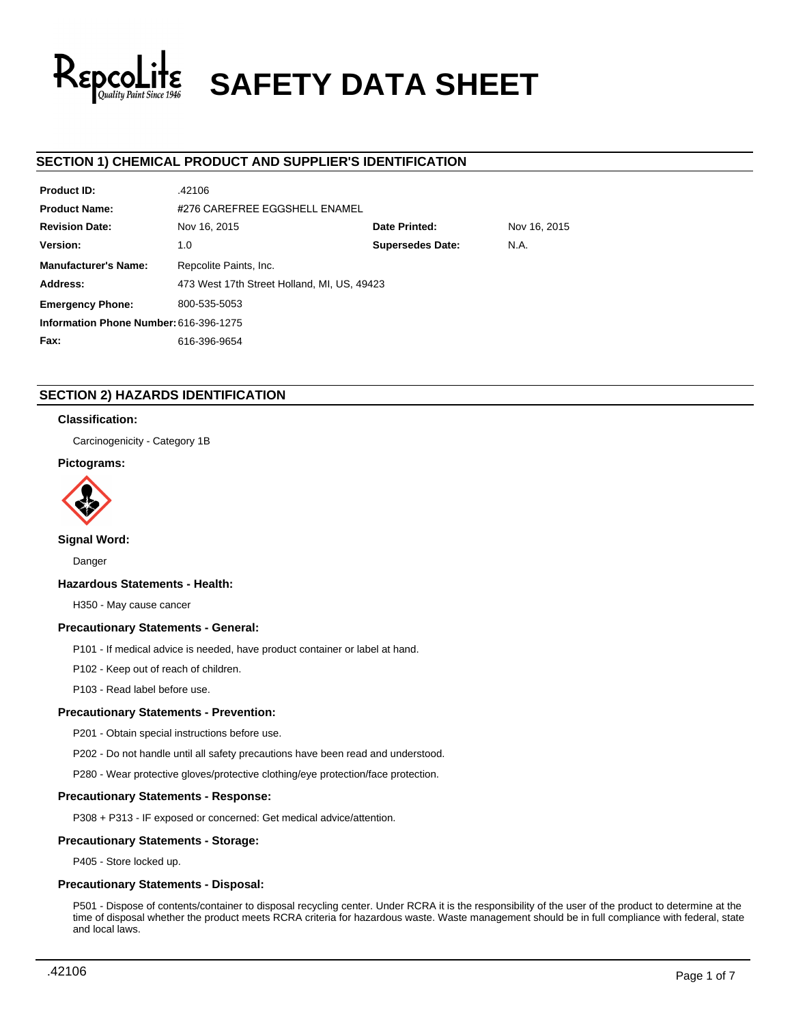

# **SAFETY DATA SHEET**

## **SECTION 1) CHEMICAL PRODUCT AND SUPPLIER'S IDENTIFICATION**

| <b>Product ID:</b>                     | .42106                                        |                         |      |  |  |
|----------------------------------------|-----------------------------------------------|-------------------------|------|--|--|
| <b>Product Name:</b>                   | #276 CAREFREE EGGSHELL ENAMEL                 |                         |      |  |  |
| <b>Revision Date:</b>                  | Date Printed:<br>Nov 16, 2015<br>Nov 16, 2015 |                         |      |  |  |
| Version:                               | 1.0                                           | <b>Supersedes Date:</b> | N.A. |  |  |
| <b>Manufacturer's Name:</b>            | Repcolite Paints, Inc.                        |                         |      |  |  |
| Address:                               | 473 West 17th Street Holland, MI, US, 49423   |                         |      |  |  |
| <b>Emergency Phone:</b>                | 800-535-5053                                  |                         |      |  |  |
| Information Phone Number: 616-396-1275 |                                               |                         |      |  |  |
| Fax:                                   | 616-396-9654                                  |                         |      |  |  |

## **SECTION 2) HAZARDS IDENTIFICATION**

## **Classification:**

Carcinogenicity - Category 1B

## **Pictograms:**



## **Signal Word:**

Danger

## **Hazardous Statements - Health:**

H350 - May cause cancer

## **Precautionary Statements - General:**

P101 - If medical advice is needed, have product container or label at hand.

P102 - Keep out of reach of children.

P103 - Read label before use.

## **Precautionary Statements - Prevention:**

P201 - Obtain special instructions before use.

P202 - Do not handle until all safety precautions have been read and understood.

P280 - Wear protective gloves/protective clothing/eye protection/face protection.

## **Precautionary Statements - Response:**

P308 + P313 - IF exposed or concerned: Get medical advice/attention.

## **Precautionary Statements - Storage:**

P405 - Store locked up.

## **Precautionary Statements - Disposal:**

P501 - Dispose of contents/container to disposal recycling center. Under RCRA it is the responsibility of the user of the product to determine at the time of disposal whether the product meets RCRA criteria for hazardous waste. Waste management should be in full compliance with federal, state and local laws.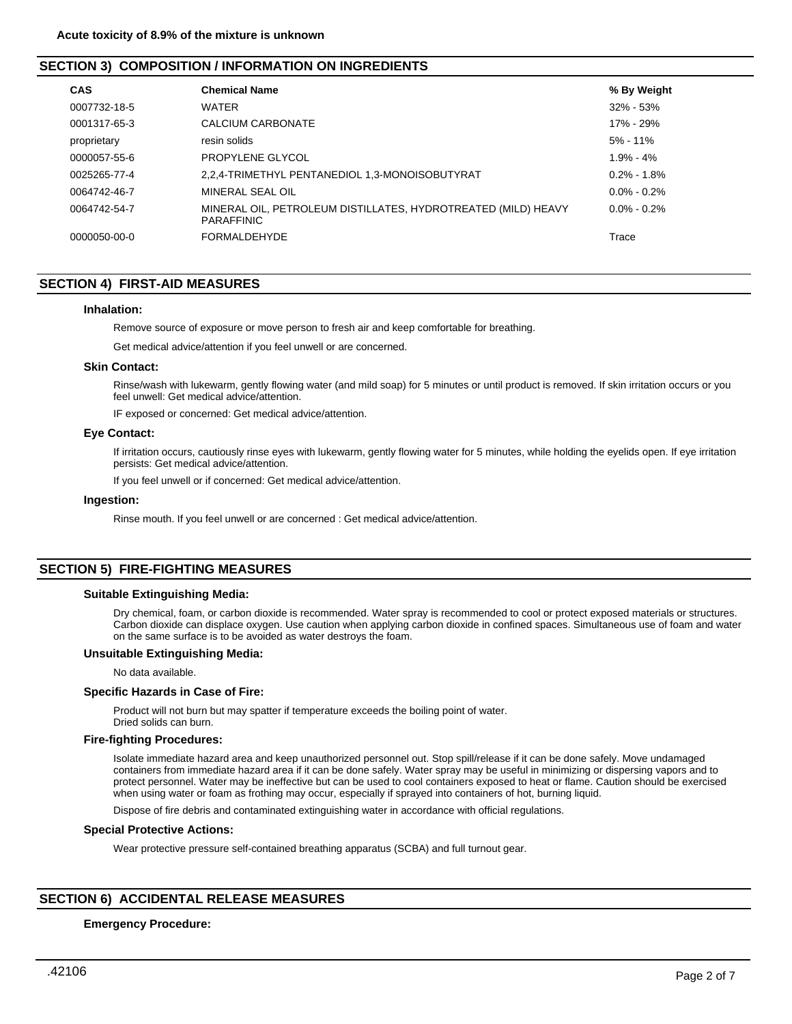## **SECTION 3) COMPOSITION / INFORMATION ON INGREDIENTS**

| <b>CAS</b>   | <b>Chemical Name</b>                                                               | % By Weight     |
|--------------|------------------------------------------------------------------------------------|-----------------|
| 0007732-18-5 | <b>WATER</b>                                                                       | $32\% - 53\%$   |
| 0001317-65-3 | CALCIUM CARBONATE                                                                  | 17% - 29%       |
| proprietary  | resin solids                                                                       | $5\% - 11\%$    |
| 0000057-55-6 | PROPYLENE GLYCOL                                                                   | $1.9\% - 4\%$   |
| 0025265-77-4 | 2,2,4-TRIMETHYL PENTANEDIOL 1,3-MONOISOBUTYRAT                                     | $0.2\% - 1.8\%$ |
| 0064742-46-7 | MINERAL SEAL OIL                                                                   | $0.0\% - 0.2\%$ |
| 0064742-54-7 | MINERAL OIL, PETROLEUM DISTILLATES, HYDROTREATED (MILD) HEAVY<br><b>PARAFFINIC</b> | $0.0\% - 0.2\%$ |
| 0000050-00-0 | <b>FORMALDEHYDE</b>                                                                | Trace           |

## **SECTION 4) FIRST-AID MEASURES**

#### **Inhalation:**

Remove source of exposure or move person to fresh air and keep comfortable for breathing.

Get medical advice/attention if you feel unwell or are concerned.

## **Skin Contact:**

Rinse/wash with lukewarm, gently flowing water (and mild soap) for 5 minutes or until product is removed. If skin irritation occurs or you feel unwell: Get medical advice/attention.

IF exposed or concerned: Get medical advice/attention.

#### **Eye Contact:**

If irritation occurs, cautiously rinse eyes with lukewarm, gently flowing water for 5 minutes, while holding the eyelids open. If eye irritation persists: Get medical advice/attention.

If you feel unwell or if concerned: Get medical advice/attention.

#### **Ingestion:**

Rinse mouth. If you feel unwell or are concerned : Get medical advice/attention.

## **SECTION 5) FIRE-FIGHTING MEASURES**

#### **Suitable Extinguishing Media:**

Dry chemical, foam, or carbon dioxide is recommended. Water spray is recommended to cool or protect exposed materials or structures. Carbon dioxide can displace oxygen. Use caution when applying carbon dioxide in confined spaces. Simultaneous use of foam and water on the same surface is to be avoided as water destroys the foam.

#### **Unsuitable Extinguishing Media:**

No data available.

#### **Specific Hazards in Case of Fire:**

Product will not burn but may spatter if temperature exceeds the boiling point of water. Dried solids can burn.

## **Fire-fighting Procedures:**

Isolate immediate hazard area and keep unauthorized personnel out. Stop spill/release if it can be done safely. Move undamaged containers from immediate hazard area if it can be done safely. Water spray may be useful in minimizing or dispersing vapors and to protect personnel. Water may be ineffective but can be used to cool containers exposed to heat or flame. Caution should be exercised when using water or foam as frothing may occur, especially if sprayed into containers of hot, burning liquid.

Dispose of fire debris and contaminated extinguishing water in accordance with official regulations.

## **Special Protective Actions:**

Wear protective pressure self-contained breathing apparatus (SCBA) and full turnout gear.

## **SECTION 6) ACCIDENTAL RELEASE MEASURES**

#### **Emergency Procedure:**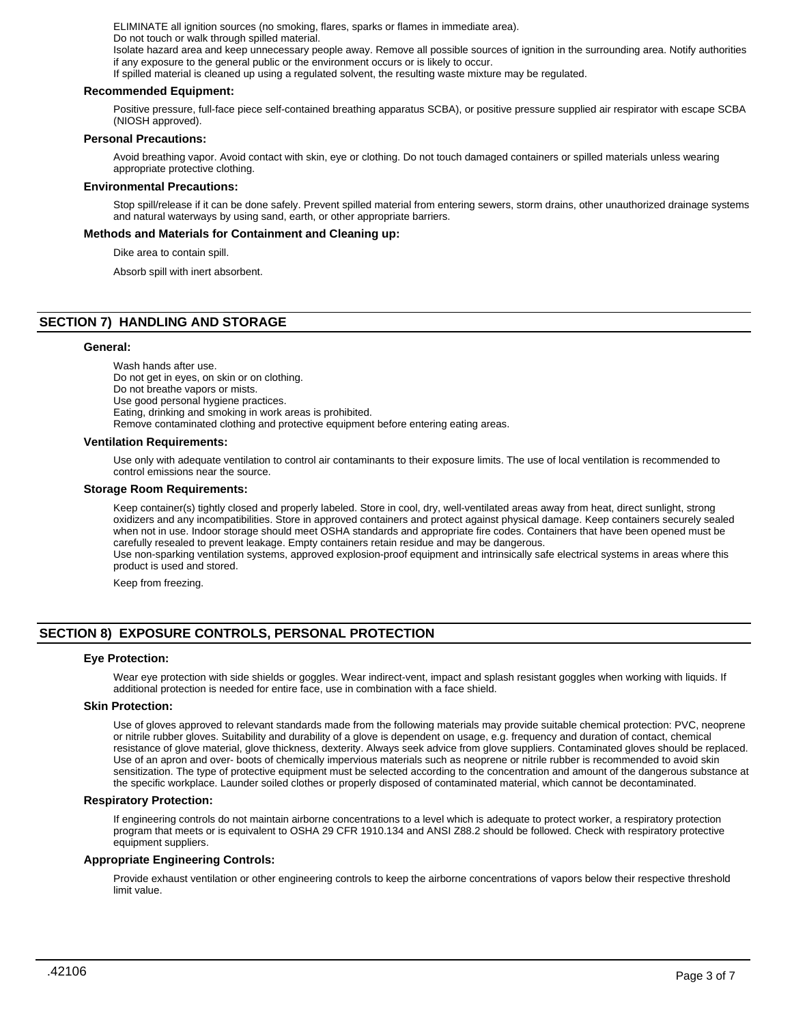ELIMINATE all ignition sources (no smoking, flares, sparks or flames in immediate area). Do not touch or walk through spilled material. Isolate hazard area and keep unnecessary people away. Remove all possible sources of ignition in the surrounding area. Notify authorities

if any exposure to the general public or the environment occurs or is likely to occur.

If spilled material is cleaned up using a regulated solvent, the resulting waste mixture may be regulated.

#### **Recommended Equipment:**

Positive pressure, full-face piece self-contained breathing apparatus SCBA), or positive pressure supplied air respirator with escape SCBA (NIOSH approved).

#### **Personal Precautions:**

Avoid breathing vapor. Avoid contact with skin, eye or clothing. Do not touch damaged containers or spilled materials unless wearing appropriate protective clothing.

#### **Environmental Precautions:**

Stop spill/release if it can be done safely. Prevent spilled material from entering sewers, storm drains, other unauthorized drainage systems and natural waterways by using sand, earth, or other appropriate barriers.

## **Methods and Materials for Containment and Cleaning up:**

Dike area to contain spill.

Absorb spill with inert absorbent.

## **SECTION 7) HANDLING AND STORAGE**

#### **General:**

Wash hands after use. Do not get in eyes, on skin or on clothing. Do not breathe vapors or mists. Use good personal hygiene practices. Eating, drinking and smoking in work areas is prohibited. Remove contaminated clothing and protective equipment before entering eating areas.

#### **Ventilation Requirements:**

Use only with adequate ventilation to control air contaminants to their exposure limits. The use of local ventilation is recommended to control emissions near the source.

#### **Storage Room Requirements:**

Keep container(s) tightly closed and properly labeled. Store in cool, dry, well-ventilated areas away from heat, direct sunlight, strong oxidizers and any incompatibilities. Store in approved containers and protect against physical damage. Keep containers securely sealed when not in use. Indoor storage should meet OSHA standards and appropriate fire codes. Containers that have been opened must be carefully resealed to prevent leakage. Empty containers retain residue and may be dangerous. Use non-sparking ventilation systems, approved explosion-proof equipment and intrinsically safe electrical systems in areas where this product is used and stored.

Keep from freezing.

## **SECTION 8) EXPOSURE CONTROLS, PERSONAL PROTECTION**

## **Eye Protection:**

Wear eye protection with side shields or goggles. Wear indirect-vent, impact and splash resistant goggles when working with liquids. If additional protection is needed for entire face, use in combination with a face shield.

#### **Skin Protection:**

Use of gloves approved to relevant standards made from the following materials may provide suitable chemical protection: PVC, neoprene or nitrile rubber gloves. Suitability and durability of a glove is dependent on usage, e.g. frequency and duration of contact, chemical resistance of glove material, glove thickness, dexterity. Always seek advice from glove suppliers. Contaminated gloves should be replaced. Use of an apron and over- boots of chemically impervious materials such as neoprene or nitrile rubber is recommended to avoid skin sensitization. The type of protective equipment must be selected according to the concentration and amount of the dangerous substance at the specific workplace. Launder soiled clothes or properly disposed of contaminated material, which cannot be decontaminated.

#### **Respiratory Protection:**

If engineering controls do not maintain airborne concentrations to a level which is adequate to protect worker, a respiratory protection program that meets or is equivalent to OSHA 29 CFR 1910.134 and ANSI Z88.2 should be followed. Check with respiratory protective equipment suppliers.

## **Appropriate Engineering Controls:**

Provide exhaust ventilation or other engineering controls to keep the airborne concentrations of vapors below their respective threshold limit value.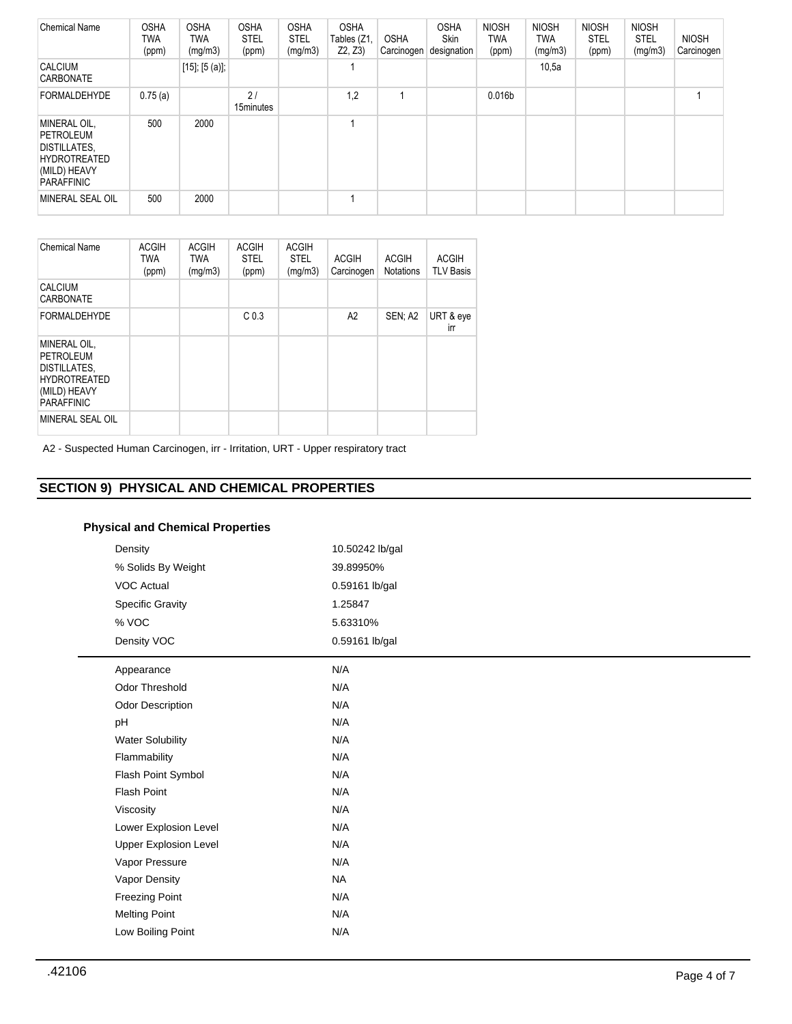| <b>Chemical Name</b>                                                                                                | <b>OSHA</b><br>TWA<br>(ppm) | <b>OSHA</b><br>TWA<br>(mg/m3) | <b>OSHA</b><br><b>STEL</b><br>(ppm) | <b>OSHA</b><br><b>STEL</b><br>(mg/m3) | <b>OSHA</b><br>Tables (Z1,<br>Z2, Z3) | <b>OSHA</b><br>Carcinogen | <b>OSHA</b><br>Skin<br>designation | <b>NIOSH</b><br><b>TWA</b><br>(ppm) | <b>NIOSH</b><br>TWA<br>(mg/m3) | <b>NIOSH</b><br><b>STEL</b><br>(ppm) | <b>NIOSH</b><br><b>STEL</b><br>(mg/m3) | <b>NIOSH</b><br>Carcinogen |
|---------------------------------------------------------------------------------------------------------------------|-----------------------------|-------------------------------|-------------------------------------|---------------------------------------|---------------------------------------|---------------------------|------------------------------------|-------------------------------------|--------------------------------|--------------------------------------|----------------------------------------|----------------------------|
| <b>CALCIUM</b><br><b>CARBONATE</b>                                                                                  |                             | $[15]$ ; $[5 (a)]$ ;          |                                     |                                       |                                       |                           |                                    |                                     | 10,5a                          |                                      |                                        |                            |
| <b>FORMALDEHYDE</b>                                                                                                 | 0.75(a)                     |                               | 21<br>15minutes                     |                                       | 1,2                                   | и                         |                                    | 0.016b                              |                                |                                      |                                        |                            |
| MINERAL OIL,<br><b>PETROLEUM</b><br><b>DISTILLATES.</b><br><b>HYDROTREATED</b><br>(MILD) HEAVY<br><b>PARAFFINIC</b> | 500                         | 2000                          |                                     |                                       |                                       |                           |                                    |                                     |                                |                                      |                                        |                            |
| MINERAL SEAL OIL                                                                                                    | 500                         | 2000                          |                                     |                                       |                                       |                           |                                    |                                     |                                |                                      |                                        |                            |

| <b>Chemical Name</b>                                                                                  | <b>ACGIH</b><br><b>TWA</b><br>(ppm) | <b>ACGIH</b><br><b>TWA</b><br>(mq/m3) | <b>ACGIH</b><br><b>STEL</b><br>(ppm) | <b>ACGIH</b><br><b>STEL</b><br>(mg/m3) | <b>ACGIH</b><br>Carcinogen | <b>ACGIH</b><br><b>Notations</b> | <b>ACGIH</b><br><b>TLV Basis</b> |
|-------------------------------------------------------------------------------------------------------|-------------------------------------|---------------------------------------|--------------------------------------|----------------------------------------|----------------------------|----------------------------------|----------------------------------|
| <b>CALCIUM</b><br>CARBONATE                                                                           |                                     |                                       |                                      |                                        |                            |                                  |                                  |
| <b>FORMALDEHYDE</b>                                                                                   |                                     |                                       | C <sub>0.3</sub>                     |                                        | A2                         | SEN: A2                          | URT & eye<br>irr                 |
| MINERAL OIL,<br>PETROLEUM<br>DISTILLATES,<br><b>HYDROTREATED</b><br>(MILD) HEAVY<br><b>PARAFFINIC</b> |                                     |                                       |                                      |                                        |                            |                                  |                                  |
| MINERAL SEAL OIL                                                                                      |                                     |                                       |                                      |                                        |                            |                                  |                                  |

A2 - Suspected Human Carcinogen, irr - Irritation, URT - Upper respiratory tract

## **SECTION 9) PHYSICAL AND CHEMICAL PROPERTIES**

## **Physical and Chemical Properties**

| Density<br>% Solids By Weight<br><b>VOC Actual</b><br><b>Specific Gravity</b><br>% VOC<br>Density VOC | 10.50242 lb/gal<br>39.89950%<br>0.59161 lb/gal<br>1.25847<br>5.63310%<br>0.59161 lb/gal |
|-------------------------------------------------------------------------------------------------------|-----------------------------------------------------------------------------------------|
| Appearance                                                                                            | N/A                                                                                     |
| Odor Threshold                                                                                        | N/A                                                                                     |
| <b>Odor Description</b>                                                                               | N/A                                                                                     |
| pH                                                                                                    | N/A                                                                                     |
| <b>Water Solubility</b>                                                                               | N/A                                                                                     |
| Flammability                                                                                          | N/A                                                                                     |
| Flash Point Symbol                                                                                    | N/A                                                                                     |
| Flash Point                                                                                           | N/A                                                                                     |
| Viscosity                                                                                             | N/A                                                                                     |
| Lower Explosion Level                                                                                 | N/A                                                                                     |
| <b>Upper Explosion Level</b>                                                                          | N/A                                                                                     |
| Vapor Pressure                                                                                        | N/A                                                                                     |
| Vapor Density                                                                                         | <b>NA</b>                                                                               |
| <b>Freezing Point</b>                                                                                 | N/A                                                                                     |
| <b>Melting Point</b>                                                                                  | N/A                                                                                     |
| Low Boiling Point                                                                                     | N/A                                                                                     |
|                                                                                                       |                                                                                         |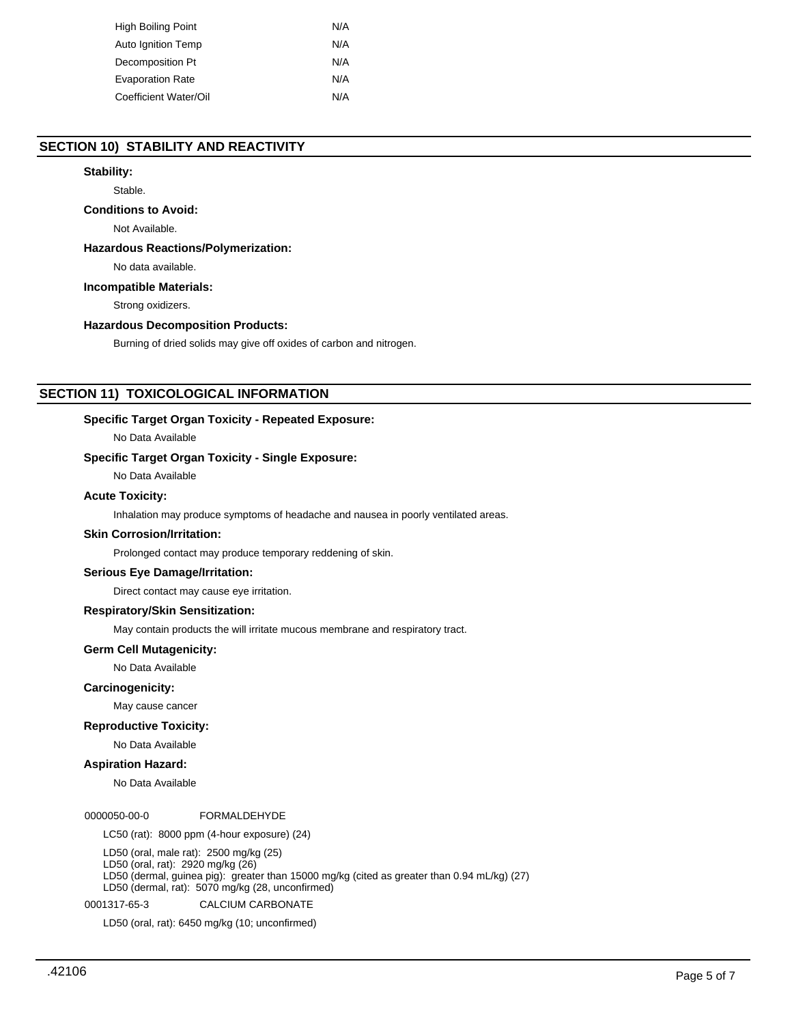| High Boiling Point      | N/A |
|-------------------------|-----|
| Auto Ignition Temp      | N/A |
| Decomposition Pt        | N/A |
| <b>Evaporation Rate</b> | N/A |
| Coefficient Water/Oil   | N/A |

## **SECTION 10) STABILITY AND REACTIVITY**

## **Stability:**

Stable.

## **Conditions to Avoid:**

Not Available.

## **Hazardous Reactions/Polymerization:**

No data available.

## **Incompatible Materials:**

Strong oxidizers.

## **Hazardous Decomposition Products:**

Burning of dried solids may give off oxides of carbon and nitrogen.

## **SECTION 11) TOXICOLOGICAL INFORMATION**

## **Specific Target Organ Toxicity - Repeated Exposure:**

No Data Available

## **Specific Target Organ Toxicity - Single Exposure:**

No Data Available

## **Acute Toxicity:**

Inhalation may produce symptoms of headache and nausea in poorly ventilated areas.

## **Skin Corrosion/Irritation:**

Prolonged contact may produce temporary reddening of skin.

#### **Serious Eye Damage/Irritation:**

Direct contact may cause eye irritation.

## **Respiratory/Skin Sensitization:**

May contain products the will irritate mucous membrane and respiratory tract.

### **Germ Cell Mutagenicity:**

No Data Available

## **Carcinogenicity:**

May cause cancer

## **Reproductive Toxicity:**

No Data Available

## **Aspiration Hazard:**

No Data Available

#### 0000050-00-0 FORMALDEHYDE

LC50 (rat): 8000 ppm (4-hour exposure) (24)

LD50 (oral, male rat): 2500 mg/kg (25)

LD50 (oral, rat): 2920 mg/kg (26)

LD50 (dermal, guinea pig): greater than 15000 mg/kg (cited as greater than 0.94 mL/kg) (27) LD50 (dermal, rat): 5070 mg/kg (28, unconfirmed)

0001317-65-3 CALCIUM CARBONATE

LD50 (oral, rat): 6450 mg/kg (10; unconfirmed)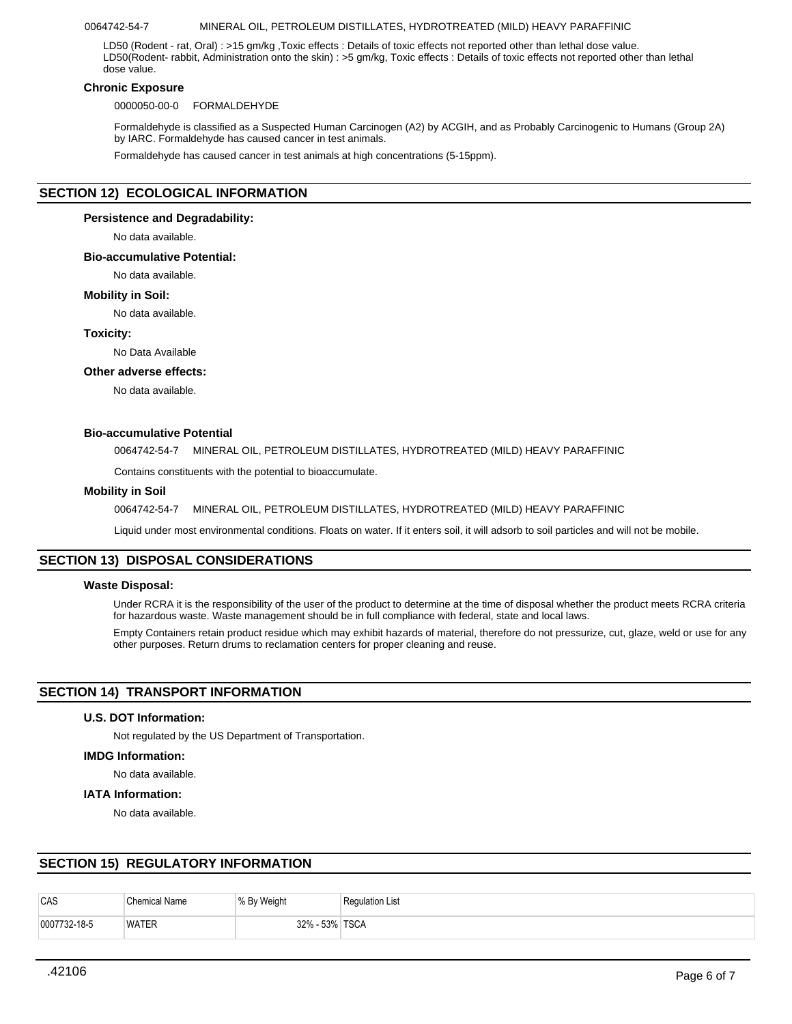### 0064742-54-7 MINERAL OIL, PETROLEUM DISTILLATES, HYDROTREATED (MILD) HEAVY PARAFFINIC

LD50 (Rodent - rat, Oral) : >15 gm/kg ,Toxic effects : Details of toxic effects not reported other than lethal dose value. LD50(Rodent- rabbit, Administration onto the skin) : >5 gm/kg, Toxic effects : Details of toxic effects not reported other than lethal dose value.

#### **Chronic Exposure**

0000050-00-0 FORMALDEHYDE

Formaldehyde is classified as a Suspected Human Carcinogen (A2) by ACGIH, and as Probably Carcinogenic to Humans (Group 2A) by IARC. Formaldehyde has caused cancer in test animals.

Formaldehyde has caused cancer in test animals at high concentrations (5-15ppm).

## **SECTION 12) ECOLOGICAL INFORMATION**

#### **Persistence and Degradability:**

No data available.

## **Bio-accumulative Potential:**

No data available.

## **Mobility in Soil:**

No data available.

#### **Toxicity:**

No Data Available

#### **Other adverse effects:**

No data available.

## **Bio-accumulative Potential**

0064742-54-7 MINERAL OIL, PETROLEUM DISTILLATES, HYDROTREATED (MILD) HEAVY PARAFFINIC

Contains constituents with the potential to bioaccumulate.

## **Mobility in Soil**

0064742-54-7 MINERAL OIL, PETROLEUM DISTILLATES, HYDROTREATED (MILD) HEAVY PARAFFINIC

Liquid under most environmental conditions. Floats on water. If it enters soil, it will adsorb to soil particles and will not be mobile.

## **SECTION 13) DISPOSAL CONSIDERATIONS**

#### **Waste Disposal:**

Under RCRA it is the responsibility of the user of the product to determine at the time of disposal whether the product meets RCRA criteria for hazardous waste. Waste management should be in full compliance with federal, state and local laws.

Empty Containers retain product residue which may exhibit hazards of material, therefore do not pressurize, cut, glaze, weld or use for any other purposes. Return drums to reclamation centers for proper cleaning and reuse.

## **SECTION 14) TRANSPORT INFORMATION**

## **U.S. DOT Information:**

Not regulated by the US Department of Transportation.

#### **IMDG Information:**

No data available.

## **IATA Information:**

No data available.

## **SECTION 15) REGULATORY INFORMATION**

| CAS          | <b>Chemical Name</b> | % By Weight   | <b>Regulation List</b> |
|--------------|----------------------|---------------|------------------------|
| 0007732-18-5 | <b>WATER</b>         | $-53%$<br>32% | ' TSCA                 |